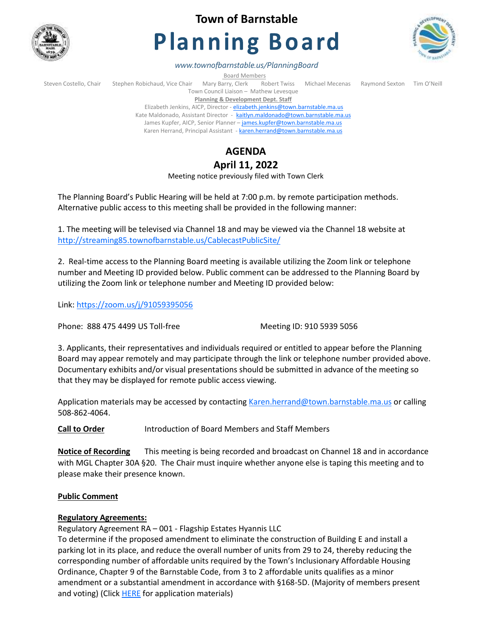

## **Town of Barnstable**

# **Planning Board**



*www.townofbarnstable.us/PlanningBoard*

**Board Members**<br>Brrv, Clerk Robert Twiss Steven Costello, Chair Stephen Robichaud, Vice Chair Mary Barry, Clerk Robert Twiss Michael Mecenas Raymond Sexton Tim O'Neill Town Council Liaison – Mathew Levesque **Planning & Development Dept. Staff** 

Elizabeth Jenkins, AICP, Director - [elizabeth.jenkins@town.barnstable.ma.us](mailto:elizabeth.jenkins@town.barnstable.ma.us) Kate Maldonado, Assistant Director - [kaitlyn.maldonado@town.barnstable.ma.us](mailto:kaitlyn.maldonado@town.barnstable.ma.us) James Kupfer, AICP, Senior Planner - [james.kupfer@town.barnstable.ma.us](mailto:james.kupfer@town.barnstable.ma.us) Karen Herrand, Principal Assistant - [karen.herrand@town.barnstable.ma.us](mailto:karen.herrand@town.barnstable.ma.us)

## **AGENDA**

## **April 11, 2022**

Meeting notice previously filed with Town Clerk

The Planning Board's Public Hearing will be held at 7:00 p.m. by remote participation methods. Alternative public access to this meeting shall be provided in the following manner:

1. The meeting will be televised via Channel 18 and may be viewed via the Channel 18 website at <http://streaming85.townofbarnstable.us/CablecastPublicSite/>

2. Real-time access to the Planning Board meeting is available utilizing the Zoom link or telephone number and Meeting ID provided below. Public comment can be addressed to the Planning Board by utilizing the Zoom link or telephone number and Meeting ID provided below:

Link:<https://zoom.us/j/91059395056>

Phone: 888 475 4499 US Toll-free Meeting ID: 910 5939 5056

3. Applicants, their representatives and individuals required or entitled to appear before the Planning Board may appear remotely and may participate through the link or telephone number provided above. Documentary exhibits and/or visual presentations should be submitted in advance of the meeting so that they may be displayed for remote public access viewing.

Application materials may be accessed by contacting [Karen.herrand@town.barnstable.ma.us](mailto:Karen.herrand@town.barnstable.ma.us) or calling 508-862-4064.

**Call to Order** Introduction of Board Members and Staff Members

**Notice of Recording** This meeting is being recorded and broadcast on Channel 18 and in accordance with MGL Chapter 30A §20. The Chair must inquire whether anyone else is taping this meeting and to please make their presence known.

#### **Public Comment**

#### **Regulatory Agreements:**

Regulatory Agreement RA – 001 - Flagship Estates Hyannis LLC

To determine if the proposed amendment to eliminate the construction of Building E and install a parking lot in its place, and reduce the overall number of units from 29 to 24, thereby reducing the corresponding number of affordable units required by the Town's Inclusionary Affordable Housing Ordinance, Chapter 9 of the Barnstable Code, from 3 to 2 affordable units qualifies as a minor amendment or a substantial amendment in accordance with §168-5D. (Majority of members present and voting) (Click **[HERE](https://itlaserfiche.town.barnstable.ma.us/WebLink/Browse.aspx?id=760934&dbid=0&repo=TownOfBarnstable)** for application materials)